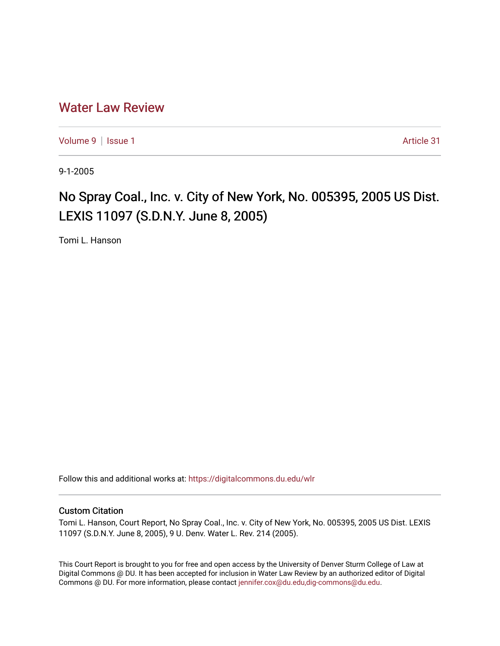## [Water Law Review](https://digitalcommons.du.edu/wlr)

[Volume 9](https://digitalcommons.du.edu/wlr/vol9) | [Issue 1](https://digitalcommons.du.edu/wlr/vol9/iss1) Article 31

9-1-2005

## No Spray Coal., Inc. v. City of New York, No. 005395, 2005 US Dist. LEXIS 11097 (S.D.N.Y. June 8, 2005)

Tomi L. Hanson

Follow this and additional works at: [https://digitalcommons.du.edu/wlr](https://digitalcommons.du.edu/wlr?utm_source=digitalcommons.du.edu%2Fwlr%2Fvol9%2Fiss1%2F31&utm_medium=PDF&utm_campaign=PDFCoverPages) 

## Custom Citation

Tomi L. Hanson, Court Report, No Spray Coal., Inc. v. City of New York, No. 005395, 2005 US Dist. LEXIS 11097 (S.D.N.Y. June 8, 2005), 9 U. Denv. Water L. Rev. 214 (2005).

This Court Report is brought to you for free and open access by the University of Denver Sturm College of Law at Digital Commons @ DU. It has been accepted for inclusion in Water Law Review by an authorized editor of Digital Commons @ DU. For more information, please contact [jennifer.cox@du.edu,dig-commons@du.edu.](mailto:jennifer.cox@du.edu,dig-commons@du.edu)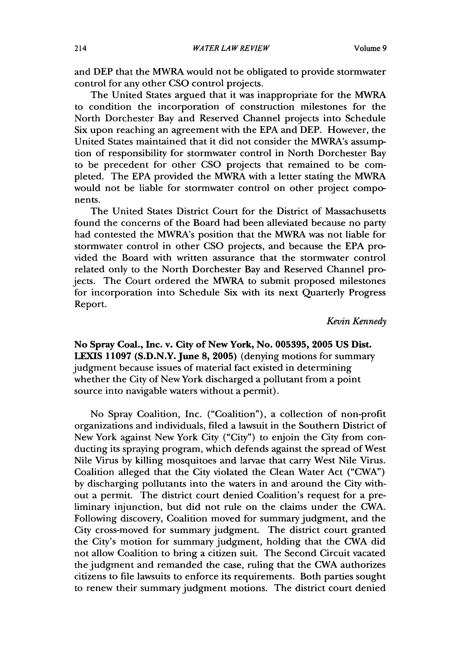and DEP that the MWRA would not be obligated to provide stormwater control for any other CSO control projects.

The United States argued that it was inappropriate for the MWRA to condition the incorporation of construction milestones for the North Dorchester Bay and Reserved Channel projects into Schedule Six upon reaching an agreement with the EPA and DEP. However, the United States maintained that it did not consider the MWRA's assumption of responsibility for stormwater control in North Dorchester Bay to be precedent for other CSO projects that remained to be completed. The EPA provided the MWRA with a letter stating the MWRA would not be liable for stormwater control on other project components.

The United States District Court for the District of Massachusetts found the concerns of the Board had been alleviated because no party had contested the MWRA's position that the MWRA was not liable for stormwater control in other CSO projects, and because the EPA provided the Board with written assurance that the stormwater control related only to the North Dorchester Bay and Reserved Channel projects. The Court ordered the MWRA to submit proposed milestones for incorporation into Schedule Six with its next Quarterly Progress Report.

*Kevin Kennedy*

**No Spray Coal., Inc. v. City of New York, No. 005395, 2005 US Dist. LEXIS 11097 (S.D.N.Y. June 8, 2005)** (denying motions for summary judgment because issues of material fact existed in determining whether the City of New York discharged a pollutant from a point source into navigable waters without a permit).

No Spray Coalition, Inc. ("Coalition"), a collection of non-profit organizations and individuals, filed a lawsuit in the Southern District of New York against New York City ("City") to enjoin the City from conducting its spraying program, which defends against the spread of West Nile Virus by killing mosquitoes and larvae that carry West Nile Virus. Coalition alleged that the City violated the Clean Water Act ("CWA") by discharging pollutants into the waters in and around the City without a permit. The district court denied Coalition's request for a preliminary injunction, but did not rule on the claims under the CWA. Following discovery, Coalition moved for summary judgment, and the City cross-moved for summary judgment. The district court granted the City's motion for summary judgment, holding that the CWA did not allow Coalition to bring a citizen suit. The Second Circuit vacated the judgment and remanded the case, ruling that the CWA authorizes citizens to file lawsuits to enforce its requirements. Both parties sought to renew their summary judgment motions. The district court denied